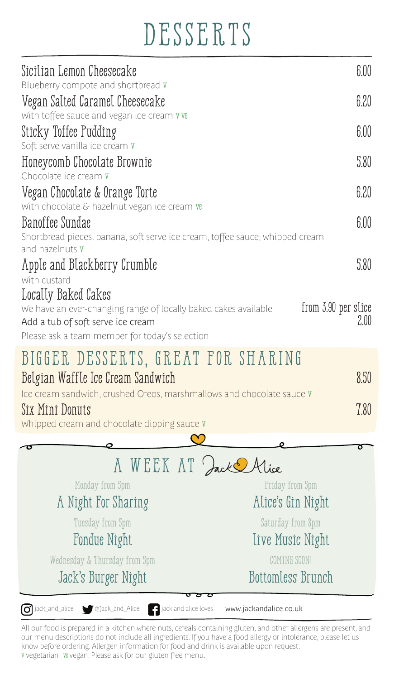# DESSERTS

| Sicilian Lemon Cheesecake                                                                                                                                                     | 6.00                        |
|-------------------------------------------------------------------------------------------------------------------------------------------------------------------------------|-----------------------------|
| Blueberry compote and shortbread v<br>Vegan Salted Caramel Cheesecake<br>With toffee sauce and vegan ice cream vve                                                            | 6.20                        |
| Sticky Toffee Pudding<br>Soft serve vanilla ice cream v                                                                                                                       | 6.00                        |
| Honeycomb Chocolate Brownie<br>Chocolate ice cream v                                                                                                                          | 5.80                        |
| Vegan Chocolate & Orange Torte<br>With chocolate & hazelnut vegan ice cream ve                                                                                                | 6.20                        |
| Banoffee Sundae<br>Shortbread pieces, banana, soft serve ice cream, toffee sauce, whipped cream<br>and hazelnuts v                                                            | 6.00                        |
| Apple and Blackberry Crumble<br>With custard                                                                                                                                  | 5.80                        |
| Locally Baked Cakes<br>We have an ever-changing range of locally baked cakes available<br>Add a tub of soft serve ice cream<br>Please ask a team member for today's selection | from 3.90 per slice<br>2.00 |
| BIGGER DESSERTS, GREAT FOR SHARING<br>Belgian Waffle Ice Cream Sandwich                                                                                                       | 8.50                        |
| Ice cream sandwich, crushed Oreos, marshmallows and chocolate sauce v<br>Six Mini Donuts<br>Whipped cream and chocolate dipping sauce v                                       | 7.80                        |
| O                                                                                                                                                                             |                             |
| A WEEK AT<br>ack                                                                                                                                                              |                             |
| Monday from 5pm                                                                                                                                                               | Friday from 5pm             |
| A Night For Sharing                                                                                                                                                           | Alice's Gin Night           |
| Tuesday from 5pm                                                                                                                                                              | Saturday from 8pm           |
| Fondue Night                                                                                                                                                                  | Live Music Night            |
| Wednesday & Thursday from 5pm                                                                                                                                                 | COMING SOON!                |
| Jack's Burger Night                                                                                                                                                           | Bottomless Brunch           |
| $\boxed{\text{O}}$ jack_and_alice<br>@Jack_and_Alice<br>jack and alice loves                                                                                                  | www.jackandalice.co.uk      |

All our food is prepared in a kitchen where nuts, cereals containing gluten, and other allergens are present, and our menu descriptions do not include all ingredients. If you have a food allergy or intolerance, please let us know before ordering. Allergen information for food and drink is available upon request. v vegetarian ve vegan. Please ask for our gluten free menu.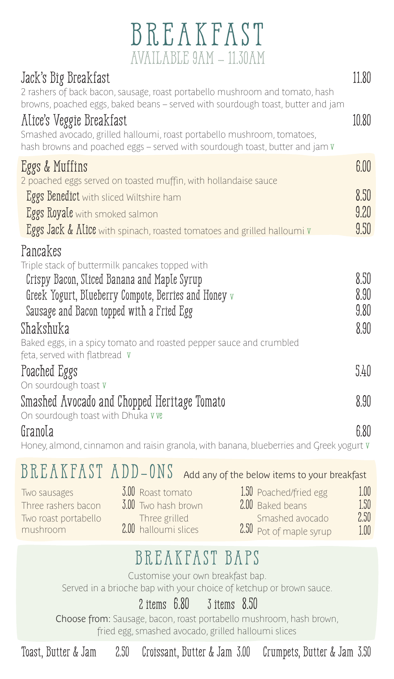| BREAKFAST               |  |
|-------------------------|--|
| AVAILABLE 9AM - 11.30AM |  |

| Jack's Big Breakfast<br>2 rashers of back bacon, sausage, roast portabello mushroom and tomato, hash<br>browns, poached eggs, baked beans - served with sourdough toast, butter and jam                                          | 11.80                        |
|----------------------------------------------------------------------------------------------------------------------------------------------------------------------------------------------------------------------------------|------------------------------|
| Alice's Veggie Breakfast<br>Smashed avocado, grilled halloumi, roast portabello mushroom, tomatoes,<br>hash browns and poached eggs – served with sourdough toast, butter and jam v                                              | 10.80                        |
| Eggs & Muffins<br>2 poached eggs served on toasted muffin, with hollandaise sauce                                                                                                                                                | 6.00                         |
| <b>Eggs Benedict</b> with sliced Wiltshire ham<br>Eggs Royale with smoked salmon<br>Eggs Jack & Alice with spinach, roasted tomatoes and grilled halloumi v                                                                      | 8.50<br>9.20<br>9.50         |
| Pancakes<br>Triple stack of buttermilk pancakes topped with<br>Crispy Bacon, Sliced Banana and Maple Syrup<br>Greek Yogurt, Blueberry Compote, Berries and Honey $\nu$<br>Sausage and Bacon topped with a Fried Egg<br>Shakshuka | 8.50<br>8.90<br>9.80<br>8.90 |
| Baked eggs, in a spicy tomato and roasted pepper sauce and crumbled<br>feta, served with flatbread v                                                                                                                             |                              |
| Poached Eggs<br>On sourdough toast v                                                                                                                                                                                             | 5.40                         |
| Smashed Avocado and Chopped Heritage Tomato                                                                                                                                                                                      | 8.90                         |
| On sourdough toast with Dhuka vve<br>Granola                                                                                                                                                                                     | 6.80                         |

Honey, almond, cinnamon and raisin granola, with banana, blueberries and Greek yogurt v

#### BREAKFAST ADD-ONS **Add any of the below items to your breakfast**

- Two sausages Three rashers bacon Two roast portabello mushroom 2.00
- 3.00 Roast tomato 3.00 Two hash brown Three grilled 2.00 halloumi slices
	- $\frac{1.50}{2.00}$  Poached/fried egg  $\frac{1.00}{1.50}$ 2.00 Baked beans 1.50<br>Smashed avocado 2.50 Smashed avocado 2.50<br>Pot of maple syrup 1.00 2.50 Pot of maple syrup

#### BREAKFAST BAPS

Customise your own breakfast bap.

Served in a brioche bap with your choice of ketchup or brown sauce.

2 items 6.80 3 items 8.50

**Choose from:** Sausage, bacon, roast portabello mushroom, hash brown, fried egg, smashed avocado, grilled halloumi slices

Toast, Butter & Jam 2.50 Croissant, Butter & Jam 3.00 Crumpets, Butter & Jam 3.50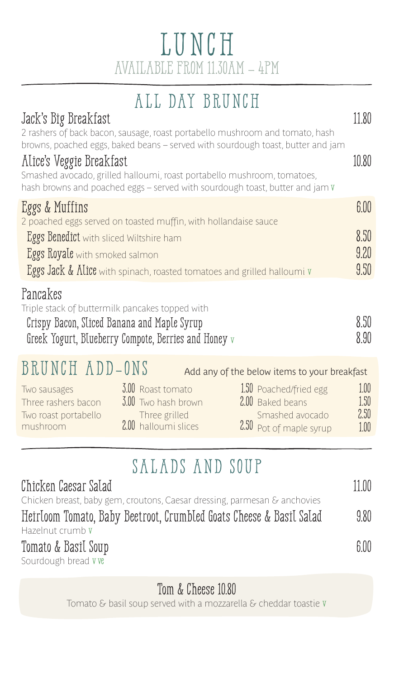## LUNCH AVAILABLE FROM 11.30AM – 4PM

## ALL DAY BRUNCH

| Jack's Big Breakfast                                                                                                                                                                                                                                                                                                                                   | 11.80                |
|--------------------------------------------------------------------------------------------------------------------------------------------------------------------------------------------------------------------------------------------------------------------------------------------------------------------------------------------------------|----------------------|
| 2 rashers of back bacon, sausage, roast portabello mushroom and tomato, hash<br>browns, poached eggs, baked beans – served with sourdough toast, butter and jam<br>Alice's Veggie Breakfast<br>Smashed avocado, grilled halloumi, roast portabello mushroom, tomatoes,<br>hash browns and poached eggs - served with sourdough toast, butter and jam v | 10.80                |
| Eggs & Muffins<br>2 poached eggs served on toasted muffin, with hollandaise sauce                                                                                                                                                                                                                                                                      | 6.00                 |
| <b>Eggs Benedict</b> with sliced Wiltshire ham<br>Eggs Royale with smoked salmon<br><b>Eggs Jack &amp; Alice</b> with spinach, roasted tomatoes and grilled halloumi $\bf{v}$                                                                                                                                                                          | 8.50<br>9.20<br>9.50 |
| Pancakes<br>Triple stack of buttermilk pancakes topped with<br>Crispy Bacon, Sliced Banana and Maple Syrup<br>Greek Yogurt, Blueberry Compote, Berries and Honey v                                                                                                                                                                                     | 8.50<br>8.90         |
| BRUNCH ADD-ONS<br>Add any of the below items to your breakfast                                                                                                                                                                                                                                                                                         |                      |

| Two sausages         | 3.00 |
|----------------------|------|
| Three rashers bacon  | 3.00 |
| Two roast portabello |      |
| mushroom             | 2.00 |

| $ 011$ |                                       | Add any of the below tiems to your breakfast |              |
|--------|---------------------------------------|----------------------------------------------|--------------|
|        | 3.00 Roast tomato                     | 1.50 Poached/fried egg                       | 1.00         |
|        | 3.00 Two hash brown                   | 2.00 Baked beans                             | 1.50         |
|        | Three grilled<br>2.00 halloumi slices | Smashed avocado<br>2.50 Pot of maple syrup   | 2.50<br>1.00 |

## SALADS AND SOUP

| Chicken Caesar Salad                                                      | 1100 |
|---------------------------------------------------------------------------|------|
| Chicken breast, baby gem, croutons, Caesar dressing, parmesan & anchovies |      |
| Heirloom Tomato, Baby Beetroot, Crumbled Goats Cheese & Basil Salad       | 9.80 |
| Hazelnut crumb v                                                          |      |
| Tomato & Basil Soup                                                       | 6.00 |
| Sourdough bread vve                                                       |      |

Tom & Cheese 10.80

Tomato & basil soup served with a mozzarella & cheddar toastie v